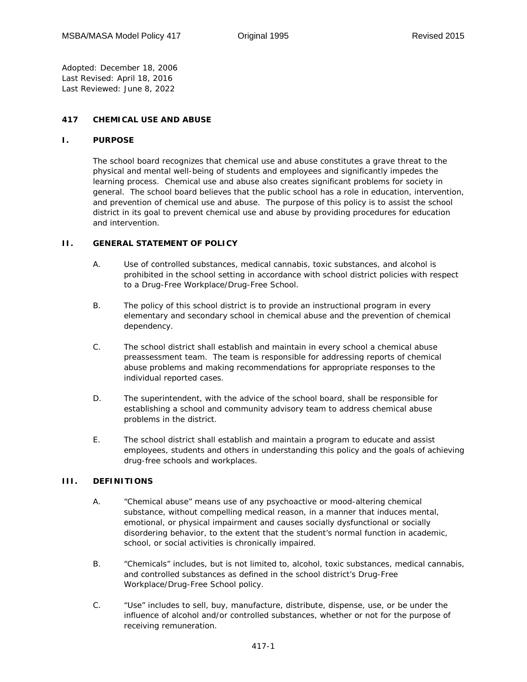*Adopted:* December 18, 2006 *Last Revised:* April 18, 2016 *Last Reviewed:* June 8, 2022

## **417 CHEMICAL USE AND ABUSE**

#### **I. PURPOSE**

The school board recognizes that chemical use and abuse constitutes a grave threat to the physical and mental well-being of students and employees and significantly impedes the learning process. Chemical use and abuse also creates significant problems for society in general. The school board believes that the public school has a role in education, intervention, and prevention of chemical use and abuse. The purpose of this policy is to assist the school district in its goal to prevent chemical use and abuse by providing procedures for education and intervention.

#### **II. GENERAL STATEMENT OF POLICY**

- A. Use of controlled substances, medical cannabis, toxic substances, and alcohol is prohibited in the school setting in accordance with school district policies with respect to a Drug-Free Workplace/Drug-Free School.
- B. The policy of this school district is to provide an instructional program in every elementary and secondary school in chemical abuse and the prevention of chemical dependency.
- C. The school district shall establish and maintain in every school a chemical abuse preassessment team. The team is responsible for addressing reports of chemical abuse problems and making recommendations for appropriate responses to the individual reported cases.
- D. The superintendent, with the advice of the school board, shall be responsible for establishing a school and community advisory team to address chemical abuse problems in the district.
- E. The school district shall establish and maintain a program to educate and assist employees, students and others in understanding this policy and the goals of achieving drug-free schools and workplaces.

# **III. DEFINITIONS**

- A. "Chemical abuse" means use of any psychoactive or mood-altering chemical substance, without compelling medical reason, in a manner that induces mental, emotional, or physical impairment and causes socially dysfunctional or socially disordering behavior, to the extent that the student's normal function in academic, school, or social activities is chronically impaired.
- B. "Chemicals" includes, but is not limited to, alcohol, toxic substances, medical cannabis, and controlled substances as defined in the school district's Drug-Free Workplace/Drug-Free School policy.
- C. "Use" includes to sell, buy, manufacture, distribute, dispense, use, or be under the influence of alcohol and/or controlled substances, whether or not for the purpose of receiving remuneration.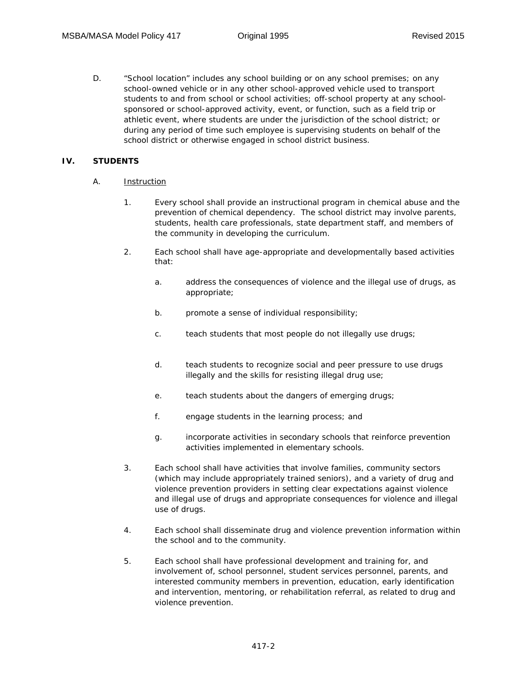D. "School location" includes any school building or on any school premises; on any school-owned vehicle or in any other school-approved vehicle used to transport students to and from school or school activities; off-school property at any schoolsponsored or school-approved activity, event, or function, such as a field trip or athletic event, where students are under the jurisdiction of the school district; or during any period of time such employee is supervising students on behalf of the school district or otherwise engaged in school district business.

# **IV. STUDENTS**

## A. Instruction

- 1. Every school shall provide an instructional program in chemical abuse and the prevention of chemical dependency. The school district may involve parents, students, health care professionals, state department staff, and members of the community in developing the curriculum.
- 2. Each school shall have age-appropriate and developmentally based activities that:
	- a. address the consequences of violence and the illegal use of drugs, as appropriate;
	- b. promote a sense of individual responsibility;
	- c. teach students that most people do not illegally use drugs;
	- d. teach students to recognize social and peer pressure to use drugs illegally and the skills for resisting illegal drug use;
	- e. teach students about the dangers of emerging drugs;
	- f. engage students in the learning process; and
	- g. incorporate activities in secondary schools that reinforce prevention activities implemented in elementary schools.
- 3. Each school shall have activities that involve families, community sectors (which may include appropriately trained seniors), and a variety of drug and violence prevention providers in setting clear expectations against violence and illegal use of drugs and appropriate consequences for violence and illegal use of drugs.
- 4. Each school shall disseminate drug and violence prevention information within the school and to the community.
- 5. Each school shall have professional development and training for, and involvement of, school personnel, student services personnel, parents, and interested community members in prevention, education, early identification and intervention, mentoring, or rehabilitation referral, as related to drug and violence prevention.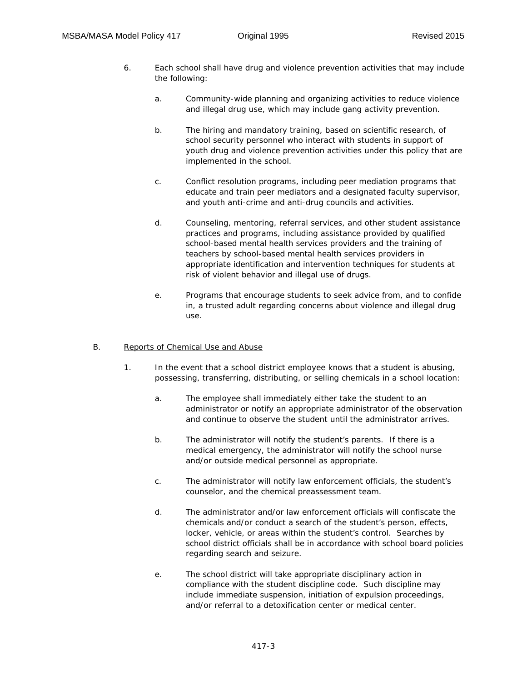- 6. Each school shall have drug and violence prevention activities that may include the following:
	- a. Community-wide planning and organizing activities to reduce violence and illegal drug use, which may include gang activity prevention.
	- b. The hiring and mandatory training, based on scientific research, of school security personnel who interact with students in support of youth drug and violence prevention activities under this policy that are implemented in the school.
	- c. Conflict resolution programs, including peer mediation programs that educate and train peer mediators and a designated faculty supervisor, and youth anti-crime and anti-drug councils and activities.
	- d. Counseling, mentoring, referral services, and other student assistance practices and programs, including assistance provided by qualified school-based mental health services providers and the training of teachers by school-based mental health services providers in appropriate identification and intervention techniques for students at risk of violent behavior and illegal use of drugs.
	- e. Programs that encourage students to seek advice from, and to confide in, a trusted adult regarding concerns about violence and illegal drug use.

## B. Reports of Chemical Use and Abuse

- 1. In the event that a school district employee knows that a student is abusing, possessing, transferring, distributing, or selling chemicals in a school location:
	- a. The employee shall immediately either take the student to an administrator or notify an appropriate administrator of the observation and continue to observe the student until the administrator arrives.
	- b. The administrator will notify the student's parents. If there is a medical emergency, the administrator will notify the school nurse and/or outside medical personnel as appropriate.
	- c. The administrator will notify law enforcement officials, the student's counselor, and the chemical preassessment team.
	- d. The administrator and/or law enforcement officials will confiscate the chemicals and/or conduct a search of the student's person, effects, locker, vehicle, or areas within the student's control. Searches by school district officials shall be in accordance with school board policies regarding search and seizure.
	- e. The school district will take appropriate disciplinary action in compliance with the student discipline code. Such discipline may include immediate suspension, initiation of expulsion proceedings, and/or referral to a detoxification center or medical center.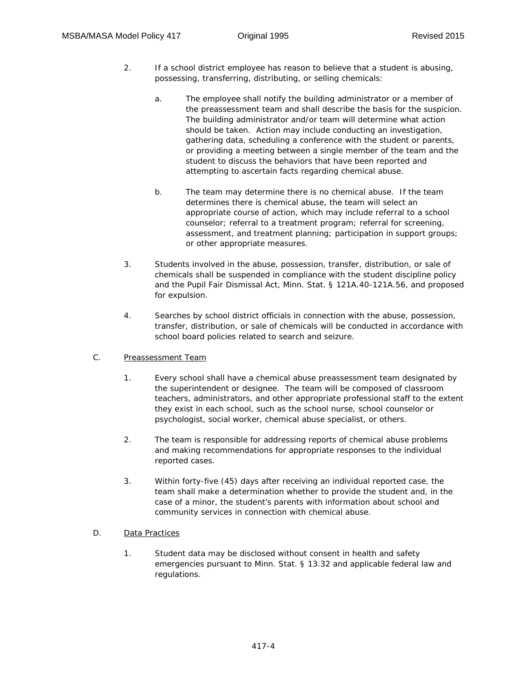- 2. If a school district employee has reason to believe that a student is abusing, possessing, transferring, distributing, or selling chemicals:
	- a. The employee shall notify the building administrator or a member of the preassessment team and shall describe the basis for the suspicion. The building administrator and/or team will determine what action should be taken. Action may include conducting an investigation, gathering data, scheduling a conference with the student or parents, or providing a meeting between a single member of the team and the student to discuss the behaviors that have been reported and attempting to ascertain facts regarding chemical abuse.
	- b. The team may determine there is no chemical abuse. If the team determines there is chemical abuse, the team will select an appropriate course of action, which may include referral to a school counselor; referral to a treatment program; referral for screening, assessment, and treatment planning; participation in support groups; or other appropriate measures.
- 3. Students involved in the abuse, possession, transfer, distribution, or sale of chemicals shall be suspended in compliance with the student discipline policy and the Pupil Fair Dismissal Act, Minn. Stat. § 121A.40-121A.56, and proposed for expulsion.
- 4. Searches by school district officials in connection with the abuse, possession, transfer, distribution, or sale of chemicals will be conducted in accordance with school board policies related to search and seizure.
- C. Preassessment Team
	- 1. Every school shall have a chemical abuse preassessment team designated by the superintendent or designee. The team will be composed of classroom teachers, administrators, and other appropriate professional staff to the extent they exist in each school, such as the school nurse, school counselor or psychologist, social worker, chemical abuse specialist, or others.
	- 2. The team is responsible for addressing reports of chemical abuse problems and making recommendations for appropriate responses to the individual reported cases.
	- 3. Within forty-five (45) days after receiving an individual reported case, the team shall make a determination whether to provide the student and, in the case of a minor, the student's parents with information about school and community services in connection with chemical abuse.
- D. Data Practices
	- 1. Student data may be disclosed without consent in health and safety emergencies pursuant to Minn. Stat. § 13.32 and applicable federal law and regulations.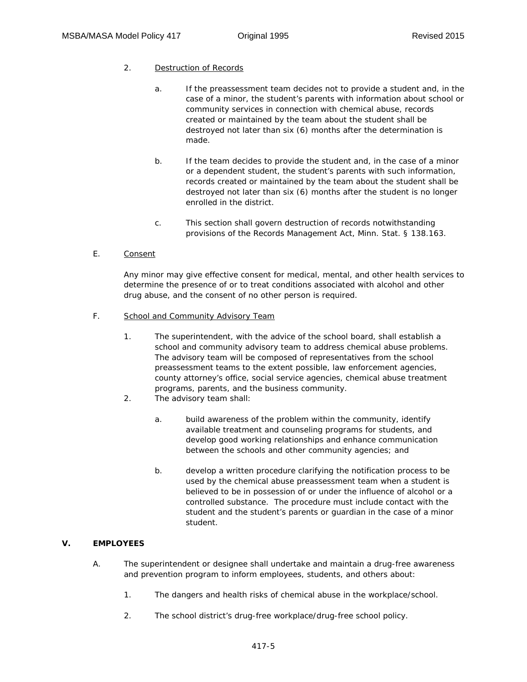### 2. Destruction of Records

- a. If the preassessment team decides not to provide a student and, in the case of a minor, the student's parents with information about school or community services in connection with chemical abuse, records created or maintained by the team about the student shall be destroyed not later than six (6) months after the determination is made.
- b. If the team decides to provide the student and, in the case of a minor or a dependent student, the student's parents with such information, records created or maintained by the team about the student shall be destroyed not later than six (6) months after the student is no longer enrolled in the district.
- c. This section shall govern destruction of records notwithstanding provisions of the Records Management Act, Minn. Stat. § 138.163.
- E. Consent

Any minor may give effective consent for medical, mental, and other health services to determine the presence of or to treat conditions associated with alcohol and other drug abuse, and the consent of no other person is required.

- F. School and Community Advisory Team
	- 1. The superintendent, with the advice of the school board, shall establish a school and community advisory team to address chemical abuse problems. The advisory team will be composed of representatives from the school preassessment teams to the extent possible, law enforcement agencies, county attorney's office, social service agencies, chemical abuse treatment programs, parents, and the business community.
	- 2. The advisory team shall:
		- a. build awareness of the problem within the community, identify available treatment and counseling programs for students, and develop good working relationships and enhance communication between the schools and other community agencies; and
		- b. develop a written procedure clarifying the notification process to be used by the chemical abuse preassessment team when a student is believed to be in possession of or under the influence of alcohol or a controlled substance. The procedure must include contact with the student and the student's parents or guardian in the case of a minor student.

## **V. EMPLOYEES**

- A. The superintendent or designee shall undertake and maintain a drug-free awareness and prevention program to inform employees, students, and others about:
	- 1. The dangers and health risks of chemical abuse in the workplace/school.
	- 2. The school district's drug-free workplace/drug-free school policy.